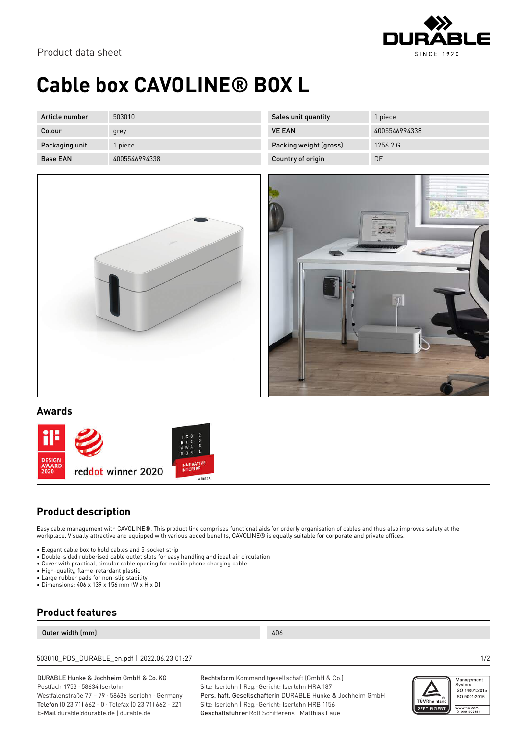

# **Cable box CAVOLINE® BOX L**

| Article number  | 503010        |
|-----------------|---------------|
| Colour          | grey          |
| Packaging unit  | 1 piece       |
| <b>Base EAN</b> | 4005546994338 |

| Sales unit quantity    | 1 piece       |
|------------------------|---------------|
| <b>VE FAN</b>          | 4005546994338 |
| Packing weight (gross) | 1256.2 G      |
| Country of origin      | DE            |





#### **Awards**



### **Product description**

Easy cable management with CAVOLINE®. This product line comprises functional aids for orderly organisation of cables and thus also improves safety at the workplace. Visually attractive and equipped with various added benefits, CAVOLINE® is equally suitable for corporate and private offices.

- Elegant cable box to hold cables and 5-socket strip
- Double-sided rubberised cable outlet slots for easy handling and ideal air circulation
- Cover with practical, circular cable opening for mobile phone charging cable
- High-quality, flame-retardant plastic
- Large rubber pads for non-slip stability
- Dimensions: 406 x 139 x 156 mm (W x H x D)

### **Product features**

#### Outer width (mm) 406

503010\_PDS\_DURABLE\_en.pdf | 2022.06.23 01:27 1/2

#### DURABLE Hunke & Jochheim GmbH & Co.KG Postfach 1753 · 58634 Iserlohn

Westfalenstraße 77 – 79 · 58636 Iserlohn · Germany Telefon (0 23 71) 662 - 0 · Telefax (0 23 71) 662 - 221 E-Mail durable@durable.de | durable.de

Rechtsform Kommanditgesellschaft (GmbH & Co.) Sitz: Iserlohn | Reg.-Gericht: Iserlohn HRA 187 Pers. haft. Gesellschafterin DURABLE Hunke & Jochheim GmbH Sitz: Iserlohn | Reg.-Gericht: Iserlohn HRB 1156 Geschäftsführer Rolf Schifferens | Matthias Laue